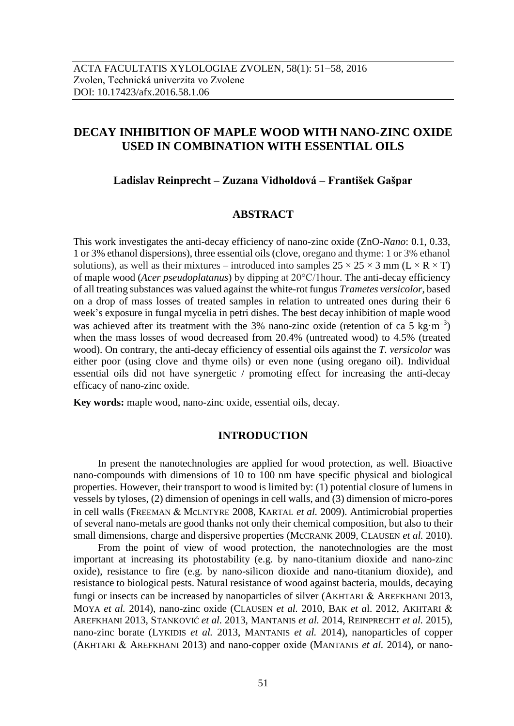# **DECAY INHIBITION OF MAPLE WOOD WITH NANO-ZINC OXIDE USED IN COMBINATION WITH ESSENTIAL OILS**

## **Ladislav Reinprecht – Zuzana Vidholdová – František Gašpar**

## **ABSTRACT**

This work investigates the anti-decay efficiency of nano-zinc oxide (ZnO-*Nano*: 0.1, 0.33, 1 or 3% ethanol dispersions), three essential oils (clove, oregano and thyme: 1 or 3% ethanol solutions), as well as their mixtures – introduced into samples  $25 \times 25 \times 3$  mm (L  $\times$  R  $\times$  T) of maple wood (*Acer pseudoplatanus*) by dipping at 20°C/1hour. The anti-decay efficiency of all treating substances was valued against the white-rot fungus *Trametes versicolor*, based on a drop of mass losses of treated samples in relation to untreated ones during their 6 week's exposure in fungal mycelia in petri dishes. The best decay inhibition of maple wood was achieved after its treatment with the 3% nano-zinc oxide (retention of ca 5 kg·m<sup>-3</sup>) when the mass losses of wood decreased from 20.4% (untreated wood) to 4.5% (treated wood). On contrary, the anti-decay efficiency of essential oils against the *T. versicolor* was either poor (using clove and thyme oils) or even none (using oregano oil). Individual essential oils did not have synergetic / promoting effect for increasing the anti-decay efficacy of nano-zinc oxide.

**Key words:** maple wood, nano-zinc oxide, essential oils, decay.

### **INTRODUCTION**

In present the nanotechnologies are applied for wood protection, as well. Bioactive nano-compounds with dimensions of 10 to 100 nm have specific physical and biological properties. However, their transport to wood is limited by: (1) potential closure of lumens in vessels by tyloses, (2) dimension of openings in cell walls, and (3) dimension of micro-pores in cell walls (FREEMAN & MCLNTYRE 2008, KARTAL *et al.* 2009). Antimicrobial properties of several nano-metals are good thanks not only their chemical composition, but also to their small dimensions, charge and dispersive properties (McCRANK 2009, CLAUSEN *et al.* 2010).

From the point of view of wood protection, the nanotechnologies are the most important at increasing its photostability (e.g. by nano-titanium dioxide and nano-zinc oxide), resistance to fire (e.g. by nano-silicon dioxide and nano-titanium dioxide), and resistance to biological pests. Natural resistance of wood against bacteria, moulds, decaying fungi or insects can be increased by nanoparticles of silver (AKHTARI  $&$  AREFKHANI 2013, MOYA *et al.* 2014), nano-zinc oxide (CLAUSEN *et al.* 2010, BAK *et a*l. 2012, AKHTARI AREFKHANI 2013, STANKOVIĆ *et al.* 2013, MANTANIS *et al.* 2014, REINPRECHT *et al.* 2015), nano-zinc borate (LYKIDIS *et al.* 2013, MANTANIS *et al.* 2014), nanoparticles of copper (AKHTARI & AREFKHANI 2013) and nano-copper oxide (MANTANIS *et al.* 2014), or nano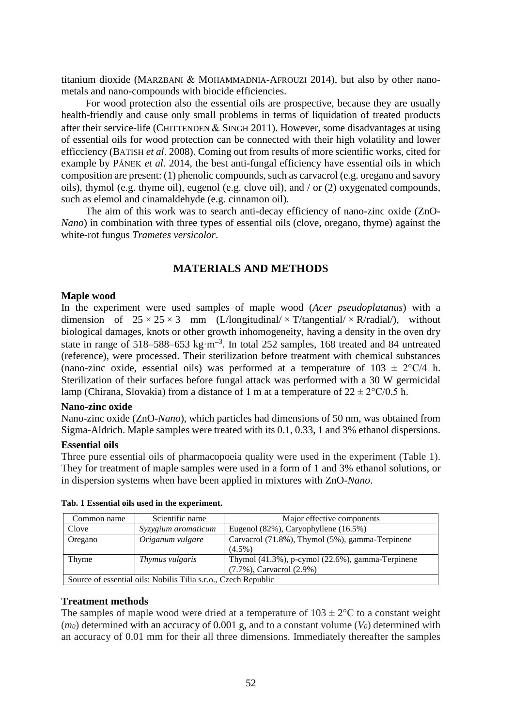titanium dioxide (MARZBANI & MOHAMMADNIA-AFROUZI 2014), but also by other nanometals and nano-compounds with biocide efficiencies.

For wood protection also the essential oils are prospective, because they are usually health-friendly and cause only small problems in terms of liquidation of treated products after their service-life (CHITTENDEN  $&$  SINGH 2011). However, some disadvantages at using of essential oils for wood protection can be connected with their high volatility and lower efficciency (BATISH *et al*. 2008). Coming out from results of more scientific works, cited for example by PÁNEK *et al*. 2014, the best anti-fungal efficiency have essential oils in which composition are present: (1) phenolic compounds, such as carvacrol (e.g. oregano and savory oils), thymol (e.g. thyme oil), eugenol (e.g. clove oil), and / or (2) oxygenated compounds, such as elemol and cinamaldehyde (e.g. cinnamon oil).

The aim of this work was to search anti-decay efficiency of nano-zinc oxide (ZnO-*Nano*) in combination with three types of essential oils (clove, oregano, thyme) against the white-rot fungus *Trametes versicolor*.

## **MATERIALS AND METHODS**

#### **Maple wood**

In the experiment were used samples of maple wood (*Acer pseudoplatanus*) with a dimension of  $25 \times 25 \times 3$  mm (L/longitudinal/ $\times$ T/tangential/ $\times$ R/radial/), without biological damages, knots or other growth inhomogeneity, having a density in the oven dry state in range of 518–588–653 kg·m<sup>-3</sup>. In total 252 samples, 168 treated and 84 untreated (reference), were processed. Their sterilization before treatment with chemical substances (nano-zinc oxide, essential oils) was performed at a temperature of  $103 \pm 2$ °C/4 h. Sterilization of their surfaces before fungal attack was performed with a 30 W germicidal lamp (Chirana, Slovakia) from a distance of 1 m at a temperature of  $22 \pm 2^{\circ}C/0.5$  h.

#### **Nano-zinc oxide**

Nano-zinc oxide (ZnO*-Nano*), which particles had dimensions of 50 nm, was obtained from Sigma-Aldrich. Maple samples were treated with its 0.1, 0.33, 1 and 3% ethanol dispersions.

#### **Essential oils**

Three pure essential oils of pharmacopoeia quality were used in the experiment (Table 1). They for treatment of maple samples were used in a form of 1 and 3% ethanol solutions, or in dispersion systems when have been applied in mixtures with ZnO*-Nano*.

| Common name                                                    | Scientific name     | Major effective components                       |  |  |  |
|----------------------------------------------------------------|---------------------|--------------------------------------------------|--|--|--|
| Clove                                                          | Syzygium aromaticum | Eugenol (82%), Caryophyllene (16.5%)             |  |  |  |
| Oregano                                                        | Origanum vulgare    | Carvacrol (71.8%), Thymol (5%), gamma-Terpinene  |  |  |  |
|                                                                |                     | $(4.5\%)$                                        |  |  |  |
| Thyme                                                          | Thymus vulgaris     | Thymol (41.3%), p-cymol (22.6%), gamma-Terpinene |  |  |  |
|                                                                |                     | (7.7%), Carvacrol (2.9%)                         |  |  |  |
| Source of essential oils: Nobilis Tilia s.r.o., Czech Republic |                     |                                                  |  |  |  |

**Tab. 1 Essential oils used in the experiment.**

## **Treatment methods**

The samples of maple wood were dried at a temperature of  $103 \pm 2$ °C to a constant weight (*m0*) determined with an accuracy of 0.001 g, and to a constant volume (*V0*) determined with an accuracy of 0.01 mm for their all three dimensions. Immediately thereafter the samples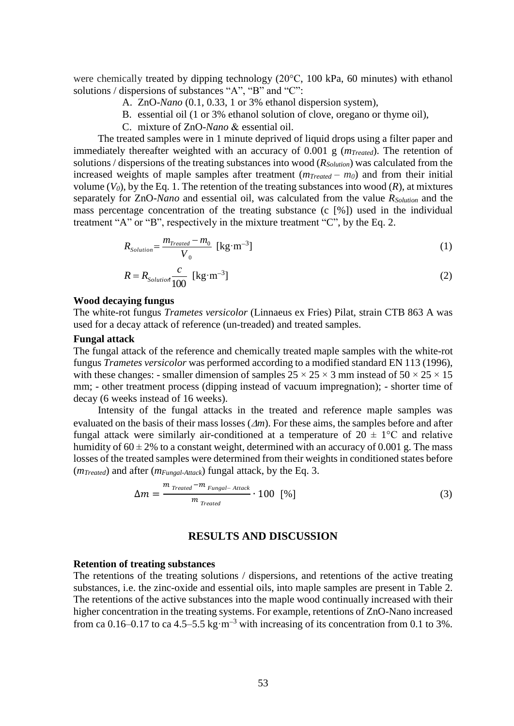were chemically treated by dipping technology (20°C, 100 kPa, 60 minutes) with ethanol solutions / dispersions of substances "A", "B" and "C":

- A. ZnO*-Nano* (0.1, 0.33, 1 or 3% ethanol dispersion system),
- B. essential oil (1 or 3% ethanol solution of clove, oregano or thyme oil),
- C. mixture of ZnO-Nano & essential oil.

The treated samples were in 1 minute deprived of liquid drops using a filter paper and immediately thereafter weighted with an accuracy of 0.001 g (*mTreated*). The retention of solutions / dispersions of the treating substances into wood (*RSolution*) was calculated from the increased weights of maple samples after treatment  $(m_{Treated} - m_0)$  and from their initial volume  $(V_0)$ , by the Eq. 1. The retention of the treating substances into wood  $(R)$ , at mixtures separately for ZnO-*Nano* and essential oil, was calculated from the value *RSolution* and the mass percentage concentration of the treating substance (c [%]) used in the individual treatment "A" or "B", respectively in the mixture treatment "C", by the Eq. 2.

$$
R_{Solution} = \frac{m_{Treated} - m_0}{V_0} \text{ [kg} \cdot \text{m}^{-3}\text{]} \tag{1}
$$

$$
R = R_{Solution} \frac{c}{100} \text{ [kg} \cdot \text{m}^{-3} \text{]} \tag{2}
$$

### **Wood decaying fungus**

The white-rot fungus *Trametes versicolor* (Linnaeus ex Fries) Pilat, strain CTB 863 A was used for a decay attack of reference (un-treaded) and treated samples.

#### **Fungal attack**

The fungal attack of the reference and chemically treated maple samples with the white-rot fungus *Trametes versicolor* was performed according to a modified standard EN 113 (1996), with these changes: - smaller dimension of samples  $25 \times 25 \times 3$  mm instead of  $50 \times 25 \times 15$ mm; - other treatment process (dipping instead of vacuum impregnation); - shorter time of decay (6 weeks instead of 16 weeks).

Intensity of the fungal attacks in the treated and reference maple samples was evaluated on the basis of their mass losses  $(\Delta m)$ . For these aims, the samples before and after fungal attack were similarly air-conditioned at a temperature of  $20 \pm 1$ °C and relative humidity of  $60 \pm 2\%$  to a constant weight, determined with an accuracy of 0.001 g. The mass losses of the treated samples were determined from their weights in conditioned states before (*mTreated*) and after (*mFungal-Attack*) fungal attack, by the Eq. 3.

$$
\Delta m = \frac{m_{\text{Treated}} - m_{\text{Fungal} - \text{Antack}}}{m_{\text{Treated}}} \cdot 100 \, [%]
$$
 (3)

#### **RESULTS AND DISCUSSION**

#### **Retention of treating substances**

The retentions of the treating solutions / dispersions, and retentions of the active treating substances, i.e. the zinc-oxide and essential oils, into maple samples are present in Table 2. The retentions of the active substances into the maple wood continually increased with their higher concentration in the treating systems. For example, retentions of ZnO-Nano increased from ca 0.16–0.17 to ca 4.5–5.5 kg·m<sup>-3</sup> with increasing of its concentration from 0.1 to 3%.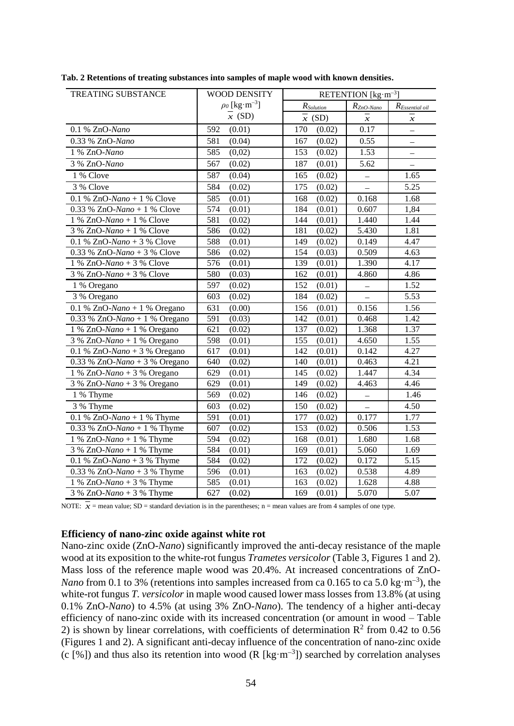| TREATING SUBSTANCE                       | <b>WOOD DENSITY</b>            | RETENTION [kg·m <sup>-3</sup> ] |                          |                            |  |
|------------------------------------------|--------------------------------|---------------------------------|--------------------------|----------------------------|--|
|                                          | $\rho_0$ [kg·m <sup>-3</sup> ] | $R_{Solution}$                  | $R_{ZnO-Nano}$           | $R_{Essential\ oil}$       |  |
|                                          | $\overline{x}$ (SD)            | $\overline{x}$ (SD)             | $\boldsymbol{x}$         | $\boldsymbol{\mathcal{X}}$ |  |
| 0.1 % ZnO-Nano                           | 592<br>(0.01)                  | 170<br>(0.02)                   | 0.17                     | $\overline{a}$             |  |
| 0.33 % ZnO-Nano                          | 581<br>(0.04)                  | 167<br>(0.02)                   | 0.55                     | ▃                          |  |
| 1 % ZnO-Nano                             | 585<br>(0,02)                  | 153<br>(0.02)                   | 1.53                     |                            |  |
| 3 % ZnO-Nano                             | 567<br>(0.02)                  | 187<br>(0.01)                   | 5.62                     | $\overline{\phantom{0}}$   |  |
| 1 % Clove                                | 587<br>(0.04)                  | 165<br>(0.02)                   | $\overline{\phantom{0}}$ | 1.65                       |  |
| 3 % Clove                                | 584<br>(0.02)                  | 175<br>(0.02)                   | $\equiv$                 | 5.25                       |  |
| 0.1 % ZnO-Nano + 1 % Clove               | 585<br>(0.01)                  | (0.02)<br>168                   | 0.168                    | 1.68                       |  |
| 0.33 % ZnO-Nano + 1 % Clove              | 574<br>(0.01)                  | 184<br>(0.01)                   | 0.607                    | 1,84                       |  |
| $1\%$ ZnO-Nano + 1 % Clove               | 581<br>(0.02)                  | (0.01)<br>144                   | 1.440                    | 1.44                       |  |
| $3 % ZnO-Nano + 1 % Clove$               | 586<br>(0.02)                  | 181<br>(0.02)                   | 5.430                    | 1.81                       |  |
| 0.1 % ZnO-Nano + 3 % Clove               | 588<br>(0.01)                  | 149<br>(0.02)                   | 0.149                    | 4.47                       |  |
| 0.33 % ZnO-Nano + 3 % Clove              | 586<br>(0.02)                  | 154<br>(0.03)                   | 0.509                    | 4.63                       |  |
| $1\%$ ZnO-Nano + 3 % Clove               | 576<br>(0.01)                  | 139<br>(0.01)                   | 1.390                    | 4.17                       |  |
| $3\%$ ZnO-Nano + $3\%$ Clove             | 580<br>(0.03)                  | 162<br>(0.01)                   | 4.860                    | 4.86                       |  |
| 1 % Oregano                              | 597<br>(0.02)                  | 152<br>(0.01)                   | $\equiv$                 | 1.52                       |  |
| 3 % Oregano                              | 603<br>(0.02)                  | 184<br>(0.02)                   | $\overline{\phantom{0}}$ | $\overline{5.53}$          |  |
| 0.1 % ZnO-Nano + 1 % Oregano             | 631<br>(0.00)                  | 156<br>(0.01)                   | 0.156                    | 1.56                       |  |
| $0.33$ % ZnO-Nano + 1 % Oregano          | 591<br>(0.03)                  | 142<br>(0.01)                   | 0.468                    | 1.42                       |  |
| $1\%$ ZnO-Nano + 1 % Oregano             | 621<br>(0.02)                  | 137<br>(0.02)                   | 1.368                    | 1.37                       |  |
| $3\%$ ZnO-Nano + 1 % Oregano             | 598<br>(0.01)                  | 155<br>(0.01)                   | 4.650                    | 1.55                       |  |
| $0.1$ % ZnO-Nano + 3 % Oregano           | 617<br>(0.01)                  | 142<br>(0.01)                   | 0.142                    | 4.27                       |  |
| 0.33 % ZnO-Nano + 3 % Oregano            | 640<br>(0.02)                  | 140<br>(0.01)                   | 0.463                    | 4.21                       |  |
| $1\%$ ZnO-Nano + 3 % Oregano             | 629<br>(0.01)                  | 145<br>(0.02)                   | 1.447                    | 4.34                       |  |
| $3\%$ ZnO-Nano + 3 % Oregano             | 629<br>(0.01)                  | 149<br>(0.02)                   | 4.463                    | 4.46                       |  |
| 1 % Thyme                                | 569<br>(0.02)                  | 146<br>(0.02)                   | $\overline{\phantom{0}}$ | 1.46                       |  |
| 3 % Thyme                                | 603<br>(0.02)                  | 150<br>(0.02)                   | $\overline{\phantom{0}}$ | 4.50                       |  |
| 0.1 % ZnO-Nano + 1 % Thyme               | 591<br>(0.01)                  | 177<br>(0.02)                   | 0.177                    | 1.77                       |  |
| 0.33 % ZnO-Nano + 1 % Thyme              | 607<br>(0.02)                  | 153<br>(0.02)                   | 0.506                    | 1.53                       |  |
| 1 % ZnO-Nano + 1 % Thyme                 | 594<br>(0.02)                  | 168<br>(0.01)                   | 1.680                    | 1.68                       |  |
| $3\%$ ZnO-Nano + 1 % Thyme               | 584<br>(0.01)                  | 169<br>(0.01)                   | 5.060                    | 1.69                       |  |
| 0.1 % ZnO-Nano + 3 % Thyme               | 584<br>(0.02)                  | 172<br>(0.02)                   | 0.172                    | 5.15                       |  |
| $\overline{0.33}$ % ZnO-Nano + 3 % Thyme | 596<br>(0.01)                  | 163<br>(0.02)                   | 0.538                    | 4.89                       |  |
| 1 % ZnO-Nano + 3 % Thyme                 | 585<br>(0.01)                  | (0.02)<br>163                   | 1.628                    | 4.88                       |  |
| $3\%$ ZnO-Nano + $3\%$ Thyme             | 627<br>(0.02)                  | 169<br>(0.01)                   | 5.070                    | 5.07                       |  |

**Tab. 2 Retentions of treating substances into samples of maple wood with known densities.**

NOTE:  $\overline{x}$  = mean value; SD = standard deviation is in the parentheses; n = mean values are from 4 samples of one type.

#### **Efficiency of nano-zinc oxide against white rot**

Nano-zinc oxide (ZnO-*Nano*) significantly improved the anti-decay resistance of the maple wood at its exposition to the white-rot fungus *Trametes versicolor* (Table 3, Figures 1 and 2). Mass loss of the reference maple wood was 20.4%. At increased concentrations of ZnO-*Nano* from 0.1 to 3% (retentions into samples increased from ca 0.165 to ca 5.0 kg·m<sup>-3</sup>), the white-rot fungus *T. versicolor* in maple wood caused lower mass losses from 13.8% (at using 0.1% ZnO-*Nano*) to 4.5% (at using 3% ZnO-*Nano*). The tendency of a higher anti-decay efficiency of nano-zinc oxide with its increased concentration (or amount in wood – Table 2) is shown by linear correlations, with coefficients of determination  $\mathbb{R}^2$  from 0.42 to 0.56 (Figures 1 and 2). A significant anti-decay influence of the concentration of nano-zinc oxide (c [%]) and thus also its retention into wood (R [kg·m<sup>-3</sup>]) searched by correlation analyses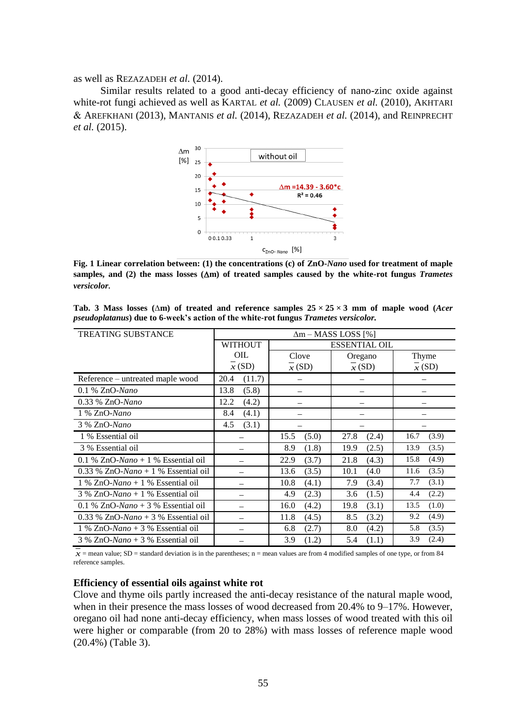as well as REZAZADEH *et al.* (2014).

Similar results related to a good anti-decay efficiency of nano-zinc oxide against white-rot fungi achieved as well as KARTAL *et al.* (2009) CLAUSEN *et al.* (2010), AKHTARI AREFKHANI (2013), MANTANIS *et al.* (2014), REZAZADEH *et al.* (2014), and REINPRECHT *et al.* (2015).



**Fig. 1 Linear correlation between: (1) the concentrations (c) of ZnO-***Nano* **used for treatment of maple**  samples, and (2) the mass losses  $(\Delta m)$  of treated samples caused by the white-rot fungus *Trametes versicolor.*

| <b>TREATING SUBSTANCE</b>             | $\Delta m -$ MASS LOSS [%]             |               |               |               |  |  |
|---------------------------------------|----------------------------------------|---------------|---------------|---------------|--|--|
|                                       | <b>WITHOUT</b><br><b>ESSENTIAL OIL</b> |               |               |               |  |  |
|                                       | OIL                                    | Clove         | Oregano       | Thyme         |  |  |
|                                       | x(SD)                                  | x(SD)         | x(SD)         | x(SD)         |  |  |
| Reference – untreated maple wood      | (11.7)<br>20.4                         |               |               |               |  |  |
| $0.1\%$ ZnO-Nano                      | 13.8<br>(5.8)                          |               |               |               |  |  |
| 0.33 % ZnO-Nano                       | 12.2<br>(4.2)                          |               |               |               |  |  |
| 1 % ZnO-Nano                          | 8.4<br>(4.1)                           |               |               |               |  |  |
| 3 % ZnO-Nano                          | 4.5<br>(3.1)                           |               |               |               |  |  |
| 1 % Essential oil                     |                                        | (5.0)<br>15.5 | 27.8<br>(2.4) | (3.9)<br>16.7 |  |  |
| 3 % Essential oil                     |                                        | 8.9<br>(1.8)  | 19.9<br>(2.5) | (3.5)<br>13.9 |  |  |
| 0.1 % $ZnO-Nano + 1$ % Essential oil  |                                        | (3.7)<br>22.9 | (4.3)<br>21.8 | 15.8<br>(4.9) |  |  |
| $0.33\%$ ZnO-Nano + 1 % Essential oil |                                        | 13.6<br>(3.5) | 10.1<br>(4.0) | (3.5)<br>11.6 |  |  |
| $1\%$ ZnO-Nano + 1 % Essential oil    |                                        | 10.8<br>(4.1) | 7.9<br>(3.4)  | (3.1)<br>7.7  |  |  |
| $3\%$ ZnO-Nano + 1 % Essential oil    |                                        | 4.9<br>(2.3)  | 3.6<br>(1.5)  | (2.2)<br>4.4  |  |  |
| 0.1 % $ZnO-Nano + 3$ % Essential oil  |                                        | 16.0<br>(4.2) | (3.1)<br>19.8 | 13.5<br>(1.0) |  |  |
| $0.33\%$ ZnO-Nano + 3 % Essential oil |                                        | 11.8<br>(4.5) | 8.5<br>(3.2)  | (4.9)<br>9.2  |  |  |
| $1\%$ ZnO-Nano + 3 % Essential oil    |                                        | 6.8<br>(2.7)  | 8.0<br>(4.2)  | (3.5)<br>5.8  |  |  |
| $3\%$ ZnO-Nano + 3 % Essential oil    |                                        | 3.9<br>(1.2)  | 5.4<br>(1.1)  | (2.4)<br>3.9  |  |  |

**Tab. 3 Mass losses (∆m) of treated and reference samples 25 × 25 × 3 mm of maple wood (***Acer pseudoplatanus***) due to 6-week's action of the white-rot fungus** *Trametes versicolor.*

 $x =$  mean value; SD = standard deviation is in the parentheses; n = mean values are from 4 modified samples of one type, or from 84 reference samples.

#### **Efficiency of essential oils against white rot**

Clove and thyme oils partly increased the anti-decay resistance of the natural maple wood, when in their presence the mass losses of wood decreased from 20.4% to 9–17%. However, oregano oil had none anti-decay efficiency, when mass losses of wood treated with this oil were higher or comparable (from 20 to 28%) with mass losses of reference maple wood (20.4%) (Table 3).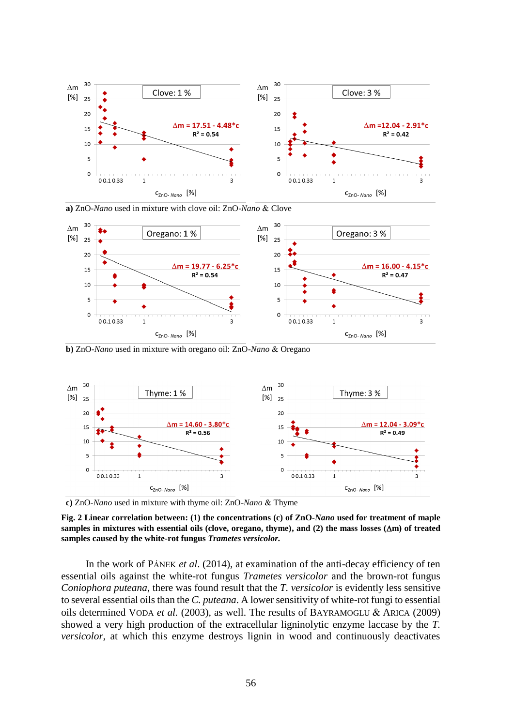

**a**) ZnO-Nano used in mixture with clove oil: ZnO-Nano & Clove



**b**) ZnO-Nano used in mixture with oregano oil: ZnO-Nano & Oregano



**c**) ZnO-*Nano* used in mixture with thyme oil: ZnO-*Nano* & Thyme

**Fig. 2 Linear correlation between: (1) the concentrations (c) of ZnO-***Nano* **used for treatment of maple samples in mixtures with essential oils (clove, oregano, thyme), and (2) the mass losses (m) of treated samples caused by the white-rot fungus** *Trametes versicolor.*

In the work of PÁNEK *et al*. (2014), at examination of the anti-decay efficiency of ten essential oils against the white-rot fungus *Trametes versicolor* and the brown-rot fungus *Coniophora puteana*, there was found result that the *T. versicolor* is evidently less sensitive to several essential oils than the *C. puteana*. A lower sensitivity of white-rot fungi to essential oils determined VODA *et al.* (2003), as well. The results of BAYRAMOGLU & ARICA (2009) showed a very high production of the extracellular ligninolytic enzyme laccase by the *T. versicolor*, at which this enzyme destroys lignin in wood and continuously deactivates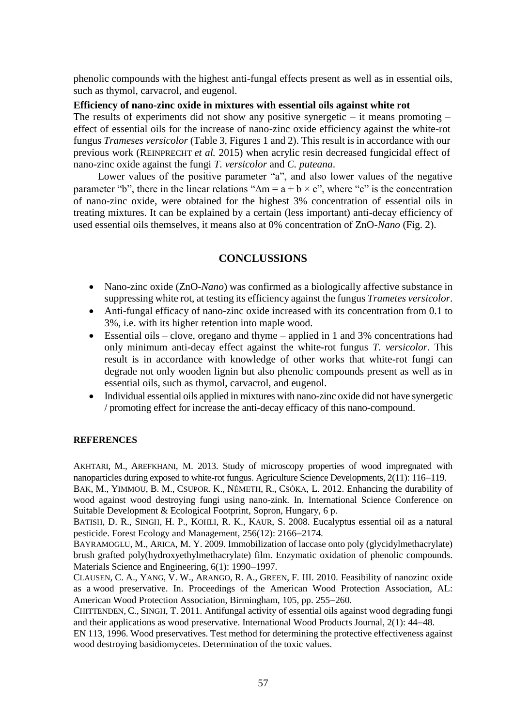phenolic compounds with the highest anti-fungal effects present as well as in essential oils, such as thymol, carvacrol, and eugenol.

## **Efficiency of nano-zinc oxide in mixtures with essential oils against white rot**

The results of experiments did not show any positive synergetic – it means promoting – effect of essential oils for the increase of nano-zinc oxide efficiency against the white-rot fungus *Trameses versicolor* (Table 3, Figures 1 and 2). This result is in accordance with our previous work (REINPRECHT *et al.* 2015) when acrylic resin decreased fungicidal effect of nano-zinc oxide against the fungi *T. versicolor* and *C. puteana*.

Lower values of the positive parameter "a", and also lower values of the negative parameter "b", there in the linear relations " $\Delta m = a + b \times c$ ", where "c" is the concentration of nano-zinc oxide, were obtained for the highest 3% concentration of essential oils in treating mixtures. It can be explained by a certain (less important) anti-decay efficiency of used essential oils themselves, it means also at 0% concentration of ZnO-*Nano* (Fig. 2).

## **CONCLUSSIONS**

- Nano-zinc oxide (ZnO-Nano) was confirmed as a biologically affective substance in suppressing white rot, at testing its efficiency against the fungus *Trametes versicolor*.
- Anti-fungal efficacy of nano-zinc oxide increased with its concentration from 0.1 to 3%, i.e. with its higher retention into maple wood.
- Essential oils clove, oregano and thyme applied in 1 and 3% concentrations had only minimum anti-decay effect against the white-rot fungus *T. versicolor*. This result is in accordance with knowledge of other works that white-rot fungi can degrade not only wooden lignin but also phenolic compounds present as well as in essential oils, such as thymol, carvacrol, and eugenol.
- Individual essential oils applied in mixtures with nano-zinc oxide did not have synergetic / promoting effect for increase the anti-decay efficacy of this nano-compound.

#### **REFERENCES**

AKHTARI, M., AREFKHANI, M. 2013. Study of microscopy properties of wood impregnated with nanoparticles during exposed to white-rot fungus. Agriculture Science Developments, 2(11): 116–119.

BAK, M., YIMMOU, B. M., CSUPOR. K., NÉMETH, R., CSÓKA, L. 2012. Enhancing the durability of wood against wood destroying fungi using nano-zink. In. International Science Conference on Suitable Development & Ecological Footprint, Sopron, Hungary, 6 p.

BATISH, D. R., SINGH, H. P., KOHLI, R. K., KAUR, S. 2008. Eucalyptus essential oil as a natural pesticide. Forest Ecology and Management, 256(12): 2166–2174.

BAYRAMOGLU, M., ARICA, M. Y. 2009. Immobilization of laccase onto poly (glycidylmethacrylate) brush grafted poly(hydroxyethylmethacrylate) film. Enzymatic oxidation of phenolic compounds. Materials Science and Engineering,  $6(1)$ : 1990–1997.

CLAUSEN, C. A., YANG, V. W., ARANGO, R. A., GREEN, F. III. 2010. Feasibility of nanozinc oxide as a wood preservative. In. Proceedings of the American Wood Protection Association, AL: American Wood Protection Association, Birmingham, 105, pp. 255–260.

CHITTENDEN, C., SINGH, T. 2011. Antifungal activity of essential oils against wood degrading fungi and their applications as wood preservative. International Wood Products Journal,  $2(1)$ :  $44-48$ .

EN 113, 1996. Wood preservatives. Test method for determining the protective effectiveness against wood destroying basidiomycetes. Determination of the toxic values.